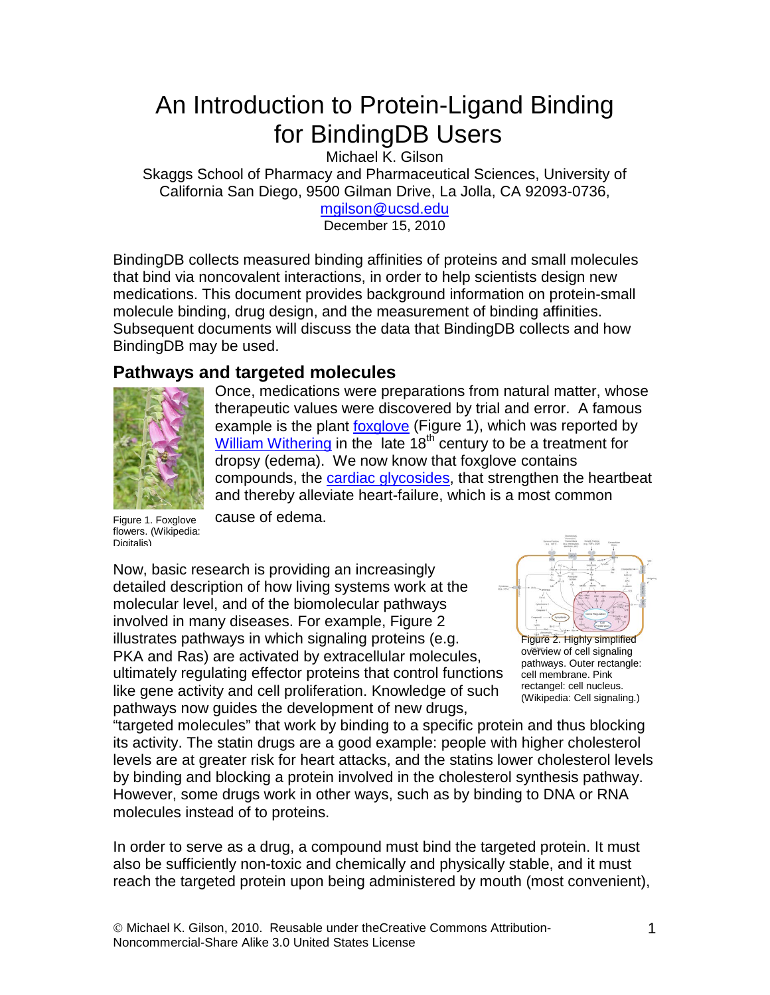# An Introduction to Protein-Ligand Binding for BindingDB Users

Michael K. Gilson

Skaggs School of Pharmacy and Pharmaceutical Sciences, University of California San Diego, 9500 Gilman Drive, La Jolla, CA 92093-0736,

[mgilson@ucsd.edu](mailto:mgilson@ucsd.edu) December 15, 2010

BindingDB collects measured binding affinities of proteins and small molecules that bind via noncovalent interactions, in order to help scientists design new medications. This document provides background information on protein-small molecule binding, drug design, and the measurement of binding affinities. Subsequent documents will discuss the data that BindingDB collects and how BindingDB may be used.

# **Pathways and targeted molecules**



Once, medications were preparations from natural matter, whose therapeutic values were discovered by trial and error. A famous example is the plant **foxglove** (Figure 1), which was reported by [William Withering](http://en.wikipedia.org/wiki/William_Withering) in the late  $18<sup>th</sup>$  century to be a treatment for dropsy (edema). We now know that foxglove contains compounds, the [cardiac glycosides,](http://en.wikipedia.org/wiki/Cardiac_glycoside) that strengthen the heartbeat and thereby alleviate heart-failure, which is a most common

Figure 1. Foxglove flowers. (Wikipedia: Digitalis)

cause of edema.

Now, basic research is providing an increasingly detailed description of how living systems work at the molecular level, and of the biomolecular pathways involved in many diseases. For example, Figure 2 illustrates pathways in which signaling proteins (e.g. PKA and Ras) are activated by extracellular molecules, ultimately regulating effector proteins that control functions like gene activity and cell proliferation. Knowledge of such pathways now guides the development of new drugs,



Figure 2. Highly simplified overview of cell signaling pathways. Outer rectangle: cell membrane. Pink rectangel: cell nucleus. (Wikipedia: Cell signaling.)

"targeted molecules" that work by binding to a specific protein and thus blocking its activity. The statin drugs are a good example: people with higher cholesterol levels are at greater risk for heart attacks, and the statins lower cholesterol levels by binding and blocking a protein involved in the cholesterol synthesis pathway. However, some drugs work in other ways, such as by binding to DNA or RNA molecules instead of to proteins.

In order to serve as a drug, a compound must bind the targeted protein. It must also be sufficiently non-toxic and chemically and physically stable, and it must reach the targeted protein upon being administered by mouth (most convenient),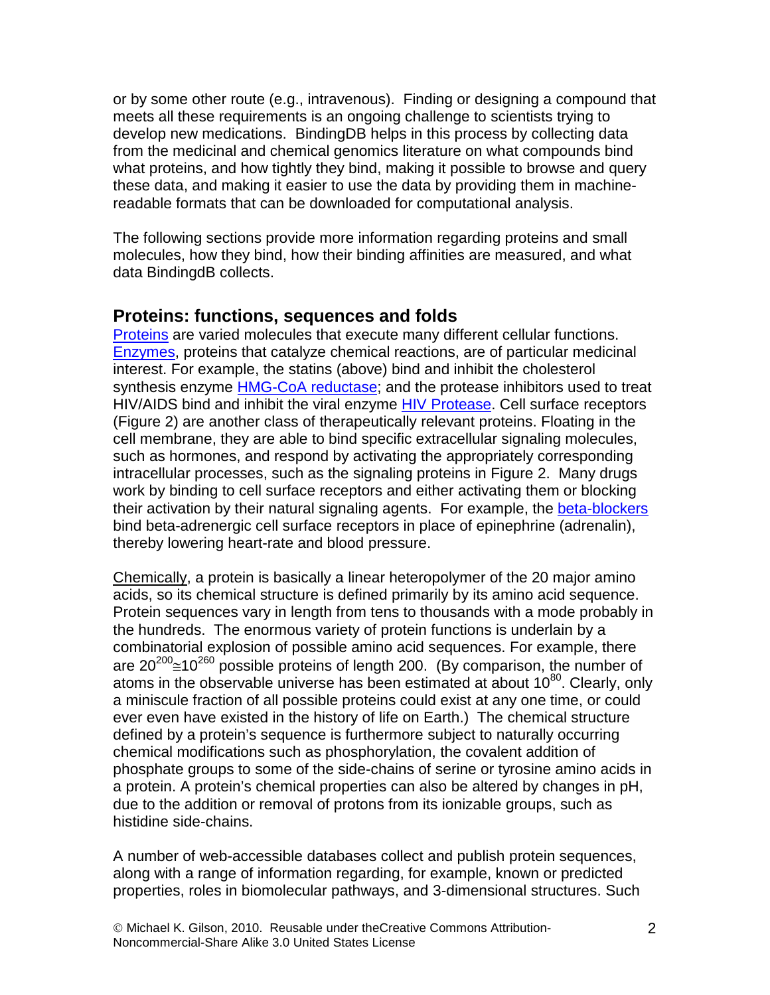or by some other route (e.g., intravenous). Finding or designing a compound that meets all these requirements is an ongoing challenge to scientists trying to develop new medications. BindingDB helps in this process by collecting data from the medicinal and chemical genomics literature on what compounds bind what proteins, and how tightly they bind, making it possible to browse and query these data, and making it easier to use the data by providing them in machinereadable formats that can be downloaded for computational analysis.

The following sections provide more information regarding proteins and small molecules, how they bind, how their binding affinities are measured, and what data BindingdB collects.

## **Proteins: functions, sequences and folds**

[Proteins](http://en.wikipedia.org/wiki/Protein) are varied molecules that execute many different cellular functions. [Enzymes,](http://en.wikipedia.org/wiki/Enzymes) proteins that catalyze chemical reactions, are of particular medicinal interest. For example, the statins (above) bind and inhibit the cholesterol synthesis enzyme **HMG-CoA reductase**; and the protease inhibitors used to treat HIV/AIDS bind and inhibit the viral enzyme [HIV Protease.](http://en.wikipedia.org/wiki/Hiv_protease) Cell surface receptors (Figure 2) are another class of therapeutically relevant proteins. Floating in the cell membrane, they are able to bind specific extracellular signaling molecules, such as hormones, and respond by activating the appropriately corresponding intracellular processes, such as the signaling proteins in Figure 2. Many drugs work by binding to cell surface receptors and either activating them or blocking their activation by their natural signaling agents. For example, the [beta-blockers](http://en.wikipedia.org/wiki/Beta_blocker) bind beta-adrenergic cell surface receptors in place of epinephrine (adrenalin), thereby lowering heart-rate and blood pressure.

Chemically, a protein is basically a linear heteropolymer of the 20 major amino acids, so its chemical structure is defined primarily by its amino acid sequence. Protein sequences vary in length from tens to thousands with a mode probably in the hundreds. The enormous variety of protein functions is underlain by a combinatorial explosion of possible amino acid sequences. For example, there are  $20^{200}$   $\leq$  10<sup>260</sup> possible proteins of length 200. (By comparison, the number of atoms in the observable universe has been estimated at about  $10^{80}$ . Clearly, only a miniscule fraction of all possible proteins could exist at any one time, or could ever even have existed in the history of life on Earth.) The chemical structure defined by a protein's sequence is furthermore subject to naturally occurring chemical modifications such as phosphorylation, the covalent addition of phosphate groups to some of the side-chains of serine or tyrosine amino acids in a protein. A protein's chemical properties can also be altered by changes in pH, due to the addition or removal of protons from its ionizable groups, such as histidine side-chains.

A number of web-accessible databases collect and publish protein sequences, along with a range of information regarding, for example, known or predicted properties, roles in biomolecular pathways, and 3-dimensional structures. Such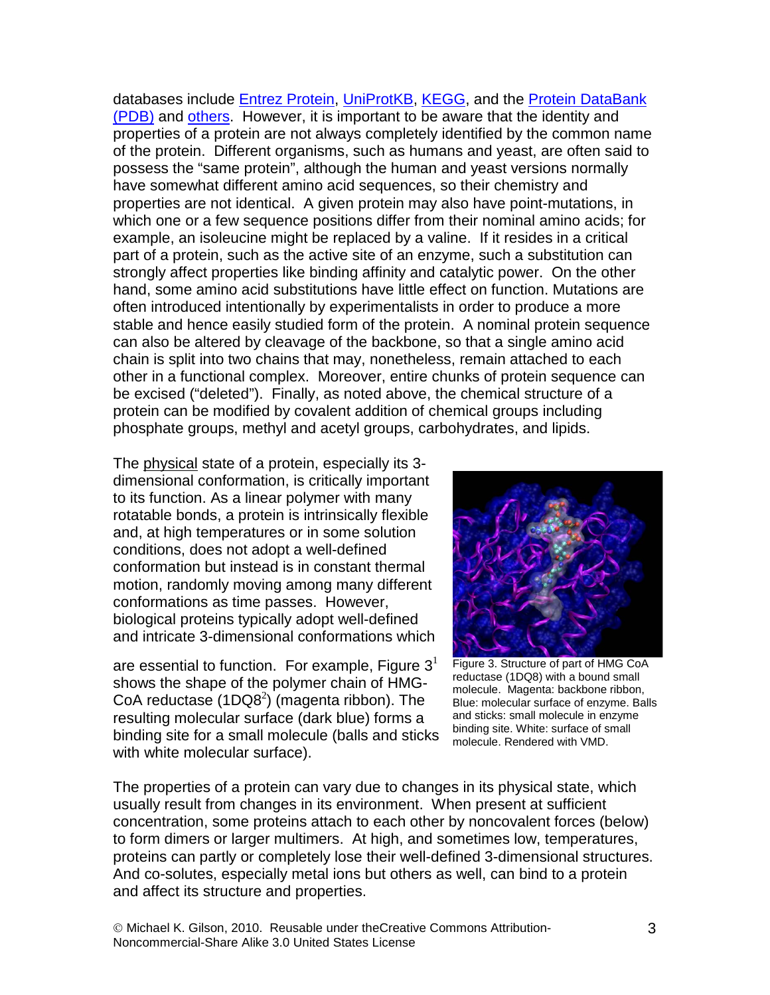databases include [Entrez Protein,](http://www.ncbi.nlm.nih.gov/sites/entrez?db=protein) [UniProtKB,](http://www.uniprot.org/) [KEGG,](http://www.genome.jp/kegg/pathway.html) and the Protein DataBank [\(PDB\)](http://www.pdb.org/) and [others.](http://www.ebi.ac.uk/Databases/protein.html) However, it is important to be aware that the identity and properties of a protein are not always completely identified by the common name of the protein. Different organisms, such as humans and yeast, are often said to possess the "same protein", although the human and yeast versions normally have somewhat different amino acid sequences, so their chemistry and properties are not identical. A given protein may also have point-mutations, in which one or a few sequence positions differ from their nominal amino acids; for example, an isoleucine might be replaced by a valine. If it resides in a critical part of a protein, such as the active site of an enzyme, such a substitution can strongly affect properties like binding affinity and catalytic power. On the other hand, some amino acid substitutions have little effect on function. Mutations are often introduced intentionally by experimentalists in order to produce a more stable and hence easily studied form of the protein. A nominal protein sequence can also be altered by cleavage of the backbone, so that a single amino acid chain is split into two chains that may, nonetheless, remain attached to each other in a functional complex. Moreover, entire chunks of protein sequence can be excised ("deleted"). Finally, as noted above, the chemical structure of a protein can be modified by covalent addition of chemical groups including phosphate groups, methyl and acetyl groups, carbohydrates, and lipids.

The physical state of a protein, especially its 3 dimensional conformation, is critically important to its function. As a linear polymer with many rotatable bonds, a protein is intrinsically flexible and, at high temperatures or in some solution conditions, does not adopt a well-defined conformation but instead is in constant thermal motion, randomly moving among many different conformations as time passes. However, biological proteins typically adopt well-defined and intricate 3-dimensional conformations which

are essential to function. For example, Figure  $3<sup>1</sup>$ shows the shape of the polymer chain of HMG-CoA reductase  $(1DQ8<sup>2</sup>)$  (magenta ribbon). The resulting molecular surface (dark blue) forms a binding site for a small molecule (balls and sticks with white molecular surface).



Figure 3. Structure of part of HMG CoA reductase (1DQ8) with a bound small molecule. Magenta: backbone ribbon, Blue: molecular surface of enzyme. Balls and sticks: small molecule in enzyme binding site. White: surface of small molecule. Rendered with VMD.

The properties of a protein can vary due to changes in its physical state, which usually result from changes in its environment. When present at sufficient concentration, some proteins attach to each other by noncovalent forces (below) to form dimers or larger multimers. At high, and sometimes low, temperatures, proteins can partly or completely lose their well-defined 3-dimensional structures. And co-solutes, especially metal ions but others as well, can bind to a protein and affect its structure and properties.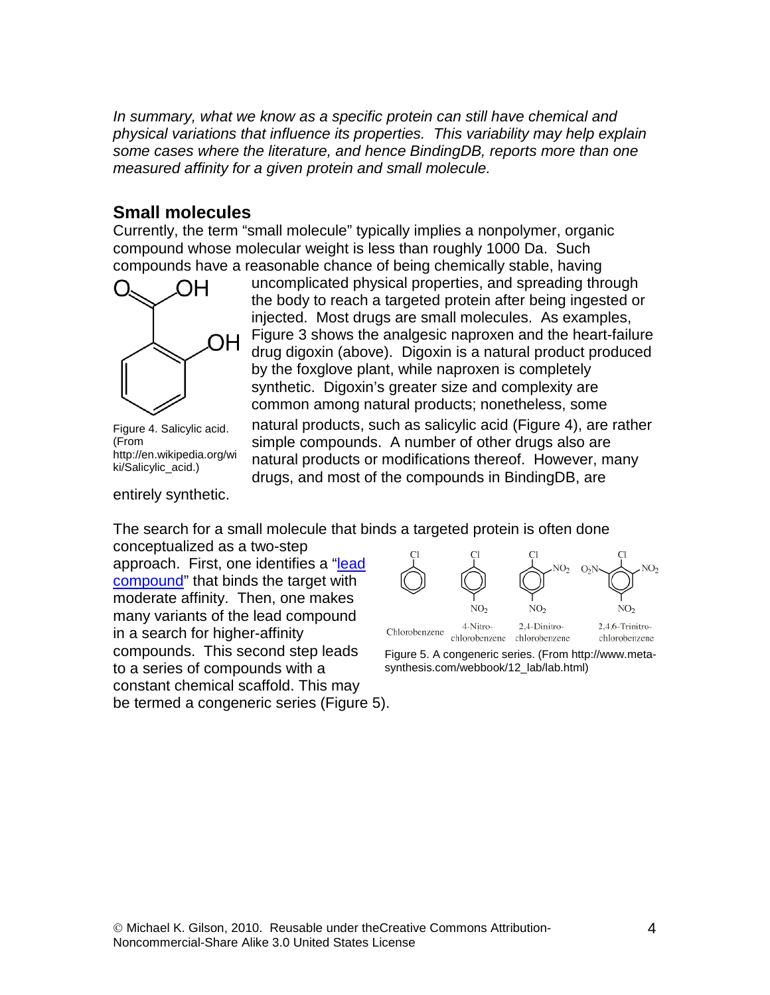*In summary, what we know as a specific protein can still have chemical and physical variations that influence its properties. This variability may help explain some cases where the literature, and hence BindingDB, reports more than one measured affinity for a given protein and small molecule.*

# **Small molecules**

Currently, the term "small molecule" typically implies a nonpolymer, organic compound whose molecular weight is less than roughly 1000 Da. Such compounds have a reasonable chance of being chemically stable, having



Figure 4. Salicylic acid. (From http://en.wikipedia.org/wi ki/Salicylic\_acid.)

entirely synthetic.

uncomplicated physical properties, and spreading through the body to reach a targeted protein after being ingested or injected. Most drugs are small molecules. As examples, Figure 3 shows the analgesic naproxen and the heart-failure drug digoxin (above). Digoxin is a natural product produced by the foxglove plant, while naproxen is completely synthetic. Digoxin's greater size and complexity are common among natural products; nonetheless, some

natural products, such as salicylic acid (Figure 4), are rather simple compounds. A number of other drugs also are natural products or modifications thereof. However, many drugs, and most of the compounds in BindingDB, are

The search for a small molecule that binds a targeted protein is often done

conceptualized as a two-step approach. First, one identifies a ["lead](http://en.wikipedia.org/wiki/Lead_compound)  [compound"](http://en.wikipedia.org/wiki/Lead_compound) that binds the target with moderate affinity. Then, one makes many variants of the lead compound in a search for higher-affinity compounds. This second step leads to a series of compounds with a constant chemical scaffold. This may be termed a congeneric series (Figure 5).



Figure 5. A congeneric series. (From http://www.metasynthesis.com/webbook/12\_lab/lab.html)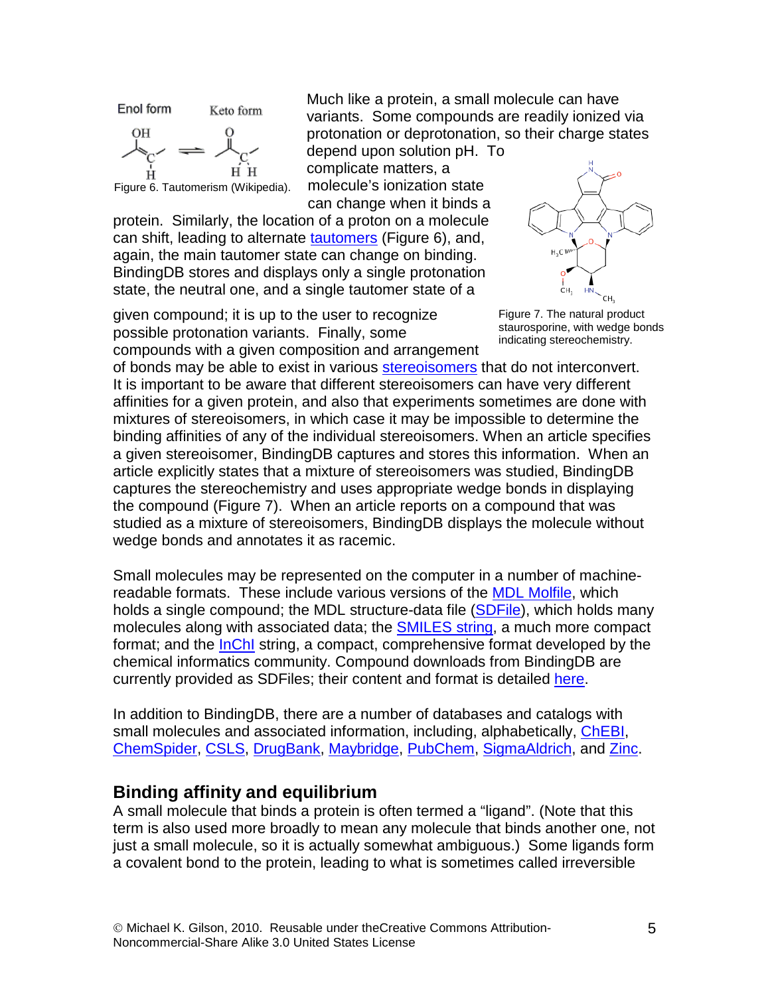

Much like a protein, a small molecule can have variants. Some compounds are readily ionized via protonation or deprotonation, so their charge states depend upon solution pH. To

complicate matters, a molecule's ionization state can change when it binds a

protein. Similarly, the location of a proton on a molecule can shift, leading to alternate [tautomers](http://en.wikipedia.org/wiki/Tautomer) (Figure 6), and, again, the main tautomer state can change on binding. BindingDB stores and displays only a single protonation state, the neutral one, and a single tautomer state of a

given compound; it is up to the user to recognize possible protonation variants. Finally, some compounds with a given composition and arrangement



Figure 7. The natural product staurosporine, with wedge bonds indicating stereochemistry.

of bonds may be able to exist in various stereoisomers that do not interconvert. It is important to be aware that different stereoisomers can have very different affinities for a given protein, and also that experiments sometimes are done with mixtures of stereoisomers, in which case it may be impossible to determine the binding affinities of any of the individual stereoisomers. When an article specifies a given stereoisomer, BindingDB captures and stores this information. When an article explicitly states that a mixture of stereoisomers was studied, BindingDB captures the stereochemistry and uses appropriate wedge bonds in displaying the compound (Figure 7). When an article reports on a compound that was studied as a mixture of stereoisomers, BindingDB displays the molecule without wedge bonds and annotates it as racemic.

Small molecules may be represented on the computer in a number of machinereadable formats. These include various versions of the [MDL Molfile,](http://en.wikipedia.org/wiki/MDL_Molfile#Molfiles) which holds a single compound; the MDL structure-data file [\(SDFile\)](http://en.wikipedia.org/wiki/MDL_Molfile#SDF), which holds many molecules along with associated data; the **SMILES** string, a much more compact format; and the [InChI](http://www.iupac.org/inchi/) string, a compact, comprehensive format developed by the chemical informatics community. Compound downloads from BindingDB are currently provided as SDFiles; their content and format is detailed [here.](http://www.bindingdb.org/bind/chemsearch/marvin/BindingDB-SDfile-Specification.pdf)

In addition to BindingDB, there are a number of databases and catalogs with small molecules and associated information, including, alphabetically, [ChEBI,](http://www.ebi.ac.uk/chebi/) [ChemSpider,](http://www.chemspider.com/) [CSLS,](http://cactus.nci.nih.gov/cgi-bin/lookup/search) [DrugBank,](http://www.drugbank.ca/) [Maybridge,](http://www.maybridge.com/default.aspx) [PubChem,](http://pubchem.ncbi.nlm.nih.gov/) [SigmaAldrich,](http://www.sigmaaldrich.com/chemistry/chemical-synthesis/chemical-synthesis-catalog.html) and [Zinc.](http://zinc.docking.org/)

# **Binding affinity and equilibrium**

A small molecule that binds a protein is often termed a "ligand". (Note that this term is also used more broadly to mean any molecule that binds another one, not just a small molecule, so it is actually somewhat ambiguous.) Some ligands form a covalent bond to the protein, leading to what is sometimes called irreversible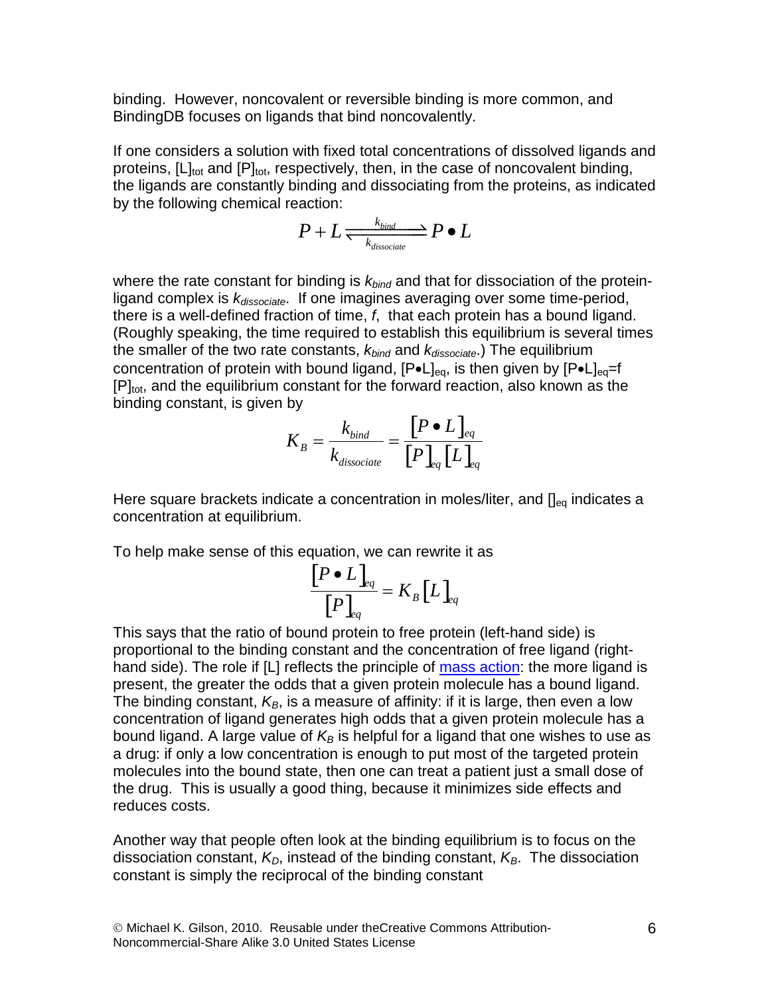binding. However, noncovalent or reversible binding is more common, and BindingDB focuses on ligands that bind noncovalently.

If one considers a solution with fixed total concentrations of dissolved ligands and proteins,  $[L]_{tot}$  and  $[P]_{tot}$ , respectively, then, in the case of noncovalent binding, the ligands are constantly binding and dissociating from the proteins, as indicated by the following chemical reaction:

$$
P+L \frac{k_{bind}}{k_{dissociate}} P \bullet L
$$

where the rate constant for binding is  $k_{bind}$  and that for dissociation of the proteinligand complex is  $k_{dissocial}$ . If one imagines averaging over some time-period, there is a well-defined fraction of time, *f*, that each protein has a bound ligand. (Roughly speaking, the time required to establish this equilibrium is several times the smaller of the two rate constants, *kbind* and *kdissociate*.) The equilibrium concentration of protein with bound ligand,  $[P\bullet L]_{eq}$ , is then given by  $[P\bullet L]_{eq}=f$  $[P]_{\text{tot}}$ , and the equilibrium constant for the forward reaction, also known as the binding constant, is given by

$$
K_B = \frac{k_{bind}}{k_{dissociate}} = \frac{[P \bullet L]_{eq}}{[P]_{eq}[L]_{eq}}
$$

Here square brackets indicate a concentration in moles/liter, and  $[]_{eq}$  indicates a concentration at equilibrium.

To help make sense of this equation, we can rewrite it as

$$
\frac{\left[P \bullet L\right]_{eq}}{\left[P\right]_{eq}} = K_B \left[L\right]_{eq}
$$

This says that the ratio of bound protein to free protein (left-hand side) is proportional to the binding constant and the concentration of free ligand (righthand side). The role if [L] reflects the principle of [mass action:](http://en.wikipedia.org/wiki/Law_of_mass_action) the more ligand is present, the greater the odds that a given protein molecule has a bound ligand. The binding constant,  $K_B$ , is a measure of affinity: if it is large, then even a low concentration of ligand generates high odds that a given protein molecule has a bound ligand. A large value of  $K_B$  is helpful for a ligand that one wishes to use as a drug: if only a low concentration is enough to put most of the targeted protein molecules into the bound state, then one can treat a patient just a small dose of the drug. This is usually a good thing, because it minimizes side effects and reduces costs.

Another way that people often look at the binding equilibrium is to focus on the dissociation constant,  $K<sub>D</sub>$ , instead of the binding constant,  $K<sub>B</sub>$ . The dissociation constant is simply the reciprocal of the binding constant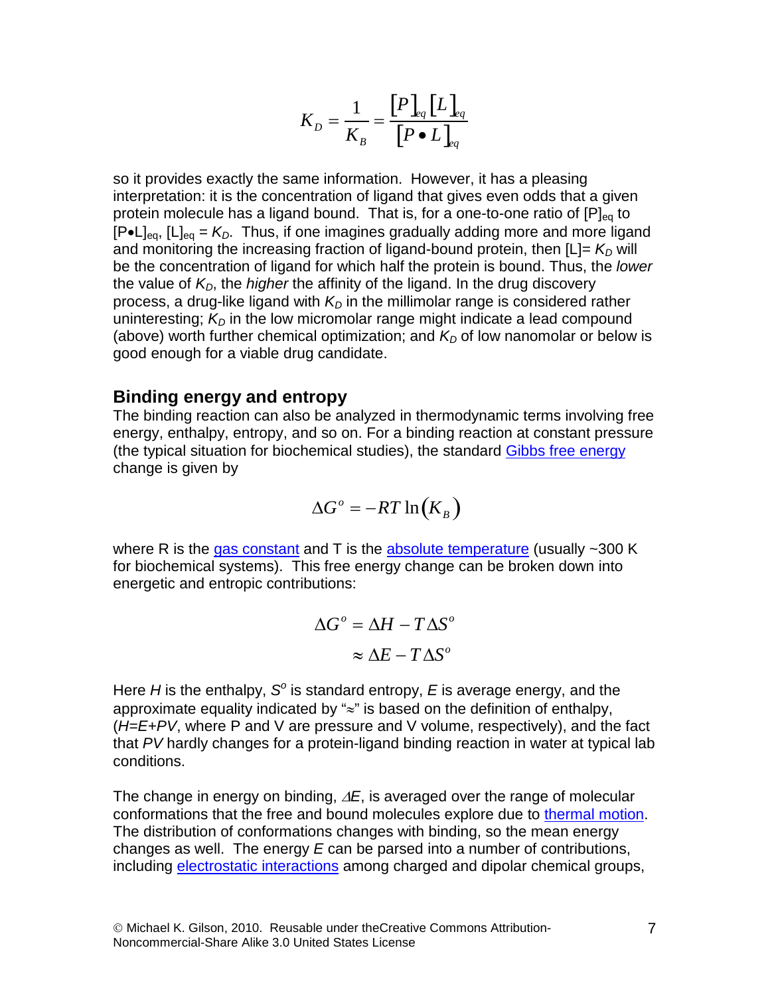$$
K_D = \frac{1}{K_B} = \frac{[P]_{eq}[L]_{eq}}{[P \bullet L]_{eq}}
$$

so it provides exactly the same information. However, it has a pleasing interpretation: it is the concentration of ligand that gives even odds that a given protein molecule has a ligand bound. That is, for a one-to-one ratio of  $[P]_{eq}$  to  $[P\bullet L]_{eq}$ ,  $[L]_{eq} = K_D$ . Thus, if one imagines gradually adding more and more ligand and monitoring the increasing fraction of ligand-bound protein, then  $[L] = K_D$  will be the concentration of ligand for which half the protein is bound. Thus, the *lower* the value of *KD*, the *higher* the affinity of the ligand. In the drug discovery process, a drug-like ligand with  $K<sub>D</sub>$  in the millimolar range is considered rather uninteresting;  $K<sub>D</sub>$  in the low micromolar range might indicate a lead compound (above) worth further chemical optimization; and  $K<sub>D</sub>$  of low nanomolar or below is good enough for a viable drug candidate.

### <span id="page-6-0"></span>**Binding energy and entropy**

The binding reaction can also be analyzed in thermodynamic terms involving free energy, enthalpy, entropy, and so on. For a binding reaction at constant pressure (the typical situation for biochemical studies), the standard [Gibbs free energy](http://en.wikipedia.org/wiki/Gibbs_energy) change is given by

$$
\Delta G^{\circ} = -RT \ln(K_B)
$$

where R is the [gas constant](http://en.wikipedia.org/wiki/Gas_constant) and T is the [absolute temperature](http://en.wikipedia.org/wiki/Absolute_temperature) (usually  $\sim$  300 K for biochemical systems). This free energy change can be broken down into energetic and entropic contributions:

$$
\Delta G^{\circ} = \Delta H - T \Delta S^{\circ}
$$

$$
\approx \Delta E - T \Delta S^{\circ}
$$

Here *H* is the enthalpy, *S<sup>o</sup>* is standard entropy, *E* is average energy, and the approximate equality indicated by "≈" is based on the definition of enthalpy, (*H=E+PV*, where P and V are pressure and V volume, respectively), and the fact that *PV* hardly changes for a protein-ligand binding reaction in water at typical lab conditions.

The change in energy on binding, ∆*E*, is averaged over the range of molecular conformations that the free and bound molecules explore due to [thermal motion.](http://en.wikipedia.org/wiki/Thermal_motion) The distribution of conformations changes with binding, so the mean energy changes as well. The energy *E* can be parsed into a number of contributions, including [electrostatic interactions](http://en.wikipedia.org/wiki/Electrostatic_interaction) among charged and dipolar chemical groups,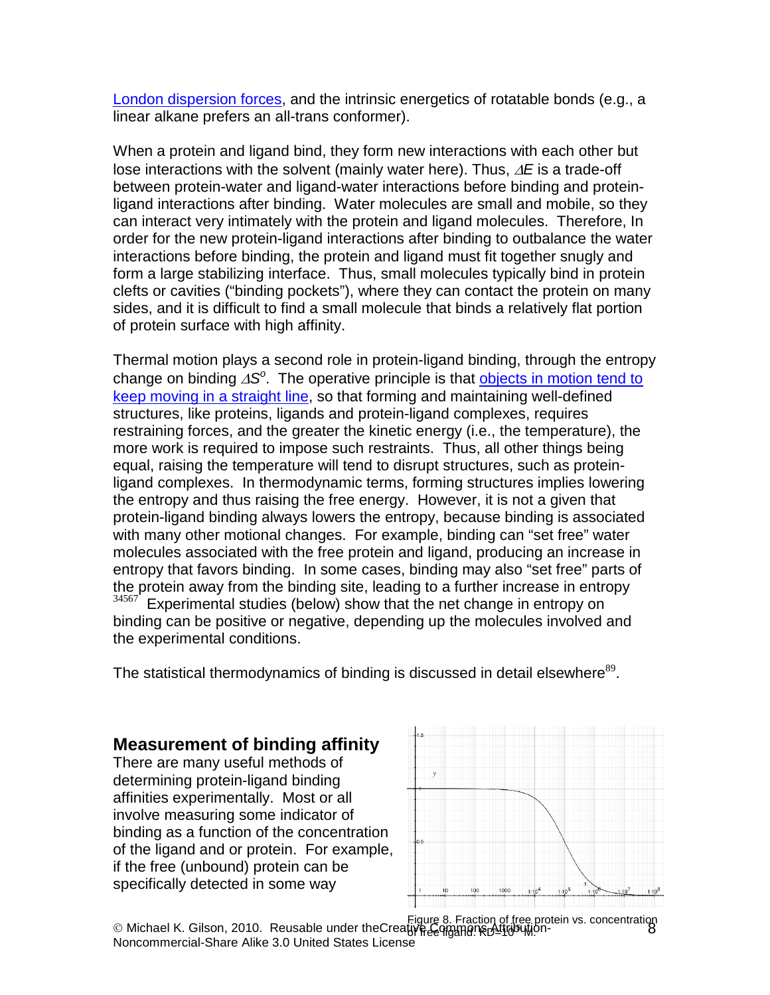[London dispersion forces,](http://en.wikipedia.org/wiki/Dispersion_forces#London_dispersion_force) and the intrinsic energetics of rotatable bonds (e.g., a linear alkane prefers an all-trans conformer).

When a protein and ligand bind, they form new interactions with each other but lose interactions with the solvent (mainly water here). Thus, ∆*E* is a trade-off between protein-water and ligand-water interactions before binding and proteinligand interactions after binding. Water molecules are small and mobile, so they can interact very intimately with the protein and ligand molecules. Therefore, In order for the new protein-ligand interactions after binding to outbalance the water interactions before binding, the protein and ligand must fit together snugly and form a large stabilizing interface. Thus, small molecules typically bind in protein clefts or cavities ("binding pockets"), where they can contact the protein on many sides, and it is difficult to find a small molecule that binds a relatively flat portion of protein surface with high affinity.

Thermal motion plays a second role in protein-ligand binding, through the entropy change on binding ∆*S<sup>o</sup>* . The operative principle is that [objects in motion tend to](http://en.wikipedia.org/wiki/Newton%27s_first_law)  [keep moving in a](http://en.wikipedia.org/wiki/Newton%27s_first_law) straight line, so that forming and maintaining well-defined structures, like proteins, ligands and protein-ligand complexes, requires restraining forces, and the greater the kinetic energy (i.e., the temperature), the more work is required to impose such restraints. Thus, all other things being equal, raising the temperature will tend to disrupt structures, such as proteinligand complexes. In thermodynamic terms, forming structures implies lowering the entropy and thus raising the free energy. However, it is not a given that protein-ligand binding always lowers the entropy, because binding is associated with many other motional changes. For example, binding can "set free" water molecules associated with the free protein and ligand, producing an increase in entropy that favors binding. In some cases, binding may also "set free" parts of the protein away from the binding site, leading to a further increase in entropy 34567 Experimental studies (below) show that the net change in entropy on binding can be positive or negative, depending up the molecules involved and the experimental conditions.

The statistical thermodynamics of binding is discussed in detail elsewhere $^{89}$ .

# **Measurement of binding affinity**

There are many useful methods of determining protein-ligand binding affinities experimentally. Most or all involve measuring some indicator of binding as a function of the concentration of the ligand and or protein. For example, if the free (unbound) protein can be specifically detected in some way

<span id="page-7-0"></span>

 Michael K. Gilson, 2010. Reusable under theCreative Commons Attribution-8 Figure 8. Fraction of free protein vs. concentration of free ligand. KD=10-5 M.Noncommercial-Share Alike 3.0 United States License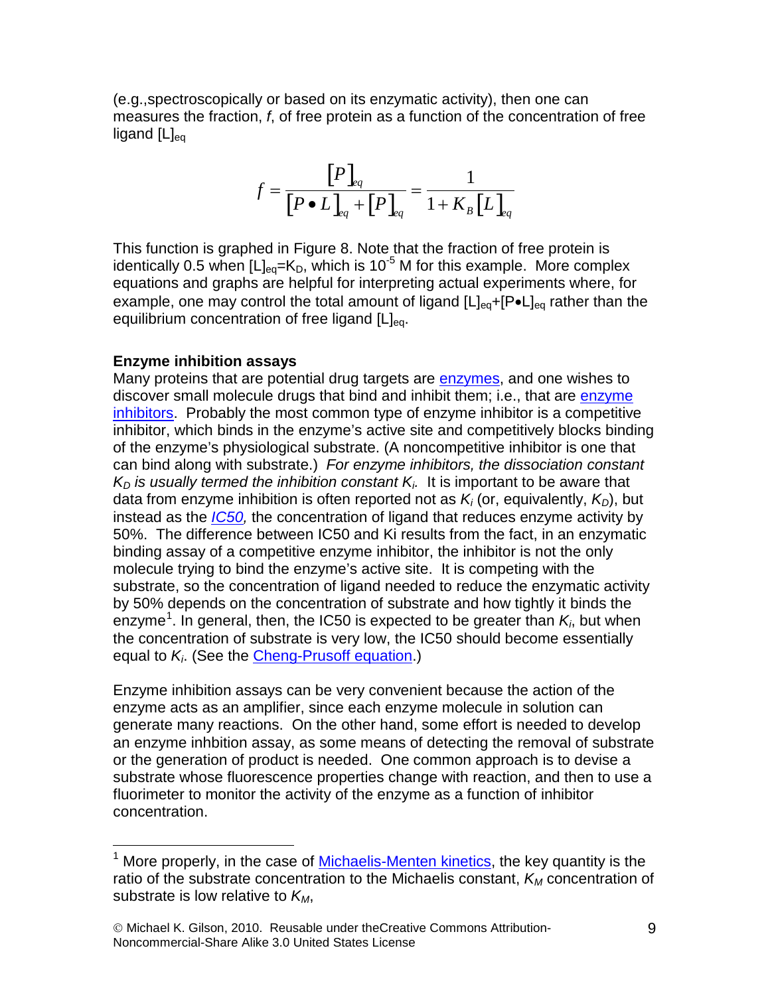(e.g.,spectroscopically or based on its enzymatic activity), then one can measures the fraction, *f*, of free protein as a function of the concentration of free ligand  $[L]_{ea}$ 

$$
f = \frac{\left[P\right]_{eq}}{\left[P \bullet L\right]_{eq} + \left[P\right]_{eq}} = \frac{1}{1 + K_B \left[L\right]_{eq}}
$$

This function is graphed in Figure 8. Note that the fraction of free protein is identically 0.5 when  $[L]_{eq} = K_D$ , which is 10<sup>-5</sup> M for this example. More complex equations and graphs are helpful for interpreting actual experiments where, for example, one may control the total amount of ligand  $[L]_{eq}$ +[P•L]<sub>eq</sub> rather than the equilibrium concentration of free ligand  $[L]_{eq}$ .

#### **Enzyme inhibition assays**

Many proteins that are potential drug targets are **enzymes**, and one wishes to discover small molecule drugs that bind and inhibit them; i.e., that are [enzyme](http://en.wikipedia.org/wiki/Enzyme_inhibition)  [inhibitors.](http://en.wikipedia.org/wiki/Enzyme_inhibition) Probably the most common type of enzyme inhibitor is a competitive inhibitor, which binds in the enzyme's active site and competitively blocks binding of the enzyme's physiological substrate. (A noncompetitive inhibitor is one that can bind along with substrate.) *For enzyme inhibitors, the dissociation constant*   $K_D$  *is usually termed the inhibition constant*  $K_i$ . It is important to be aware that data from enzyme inhibition is often reported not as  $K_i$  (or, equivalently,  $K_{\text{D}}$ ), but instead as the *[IC50,](http://en.wikipedia.org/wiki/IC50)* the concentration of ligand that reduces enzyme activity by 50%. The difference between IC50 and Ki results from the fact, in an enzymatic binding assay of a competitive enzyme inhibitor, the inhibitor is not the only molecule trying to bind the enzyme's active site. It is competing with the substrate, so the concentration of ligand needed to reduce the enzymatic activity by 50% depends on the concentration of substrate and how tightly it binds the enzyme<sup>[1](#page-11-0)</sup>. In general, then, the IC50 is expected to be greater than  $\mathcal{K}_h$  but when the concentration of substrate is very low, the IC50 should become essentially equal to *Ki*. (See the [Cheng-Prusoff equation.](http://en.wikipedia.org/wiki/IC50))

Enzyme inhibition assays can be very convenient because the action of the enzyme acts as an amplifier, since each enzyme molecule in solution can generate many reactions. On the other hand, some effort is needed to develop an enzyme inhbition assay, as some means of detecting the removal of substrate or the generation of product is needed. One common approach is to devise a substrate whose fluorescence properties change with reaction, and then to use a fluorimeter to monitor the activity of the enzyme as a function of inhibitor concentration.

<sup>&</sup>lt;sup>1</sup> More properly, in the case of [Michaelis-Menten kinetics,](http://en.wikipedia.org/wiki/Michaelis-Menten_kinetics) the key quantity is the ratio of the substrate concentration to the Michaelis constant,  $K_M$  concentration of substrate is low relative to  $K_M$ ,

<sup>©</sup> Michael K. Gilson, 2010. Reusable under theCreative Commons Attribution-Noncommercial-Share Alike 3.0 United States License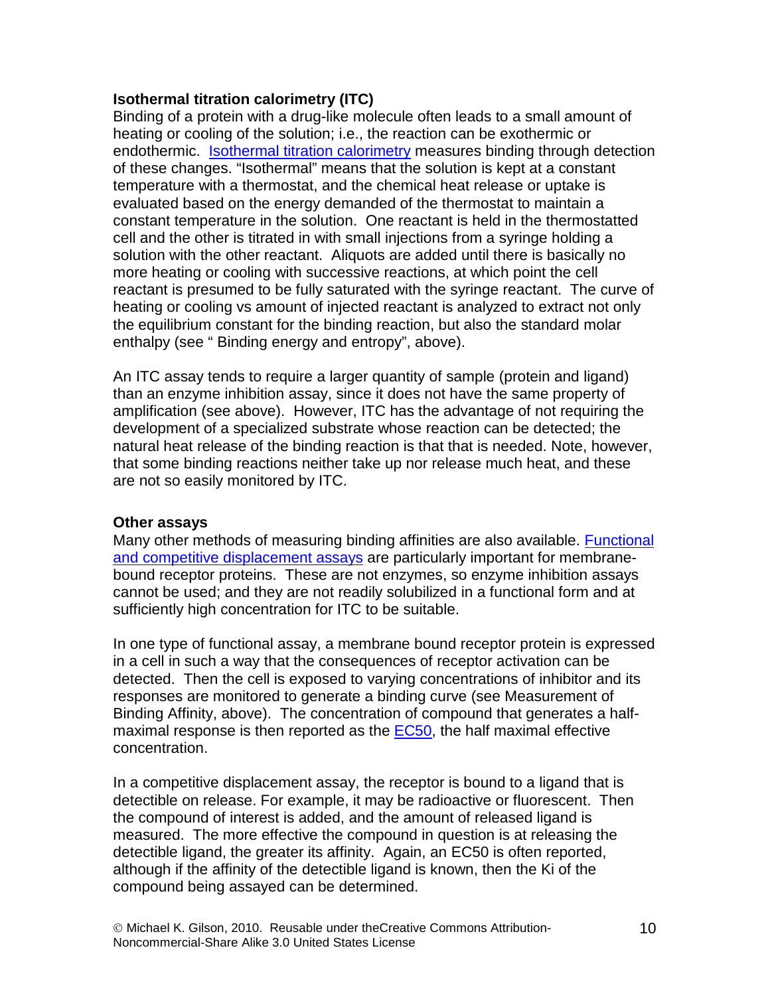## **Isothermal titration calorimetry (ITC)**

Binding of a protein with a drug-like molecule often leads to a small amount of heating or cooling of the solution; i.e., the reaction can be exothermic or endothermic. [Isothermal titration calorimetry](http://www.microcal.com/technology/itc.asp) measures binding through detection of these changes. "Isothermal" means that the solution is kept at a constant temperature with a thermostat, and the chemical heat release or uptake is evaluated based on the energy demanded of the thermostat to maintain a constant temperature in the solution. One reactant is held in the thermostatted cell and the other is titrated in with small injections from a syringe holding a solution with the other reactant. Aliquots are added until there is basically no more heating or cooling with successive reactions, at which point the cell reactant is presumed to be fully saturated with the syringe reactant. The curve of heating or cooling vs amount of injected reactant is analyzed to extract not only the equilibrium constant for the binding reaction, but also the standard molar enthalpy (see " [Binding energy and entropy"](#page-6-0), above).

An ITC assay tends to require a larger quantity of sample (protein and ligand) than an enzyme inhibition assay, since it does not have the same property of amplification (see above). However, ITC has the advantage of not requiring the development of a specialized substrate whose reaction can be detected; the natural heat release of the binding reaction is that that is needed. Note, however, that some binding reactions neither take up nor release much heat, and these are not so easily monitored by ITC.

## **Other assays**

Many other methods of measuring binding affinities are also available. [Functional](http://pdsp.med.unc.edu/)  [and competitive displacement assays](http://pdsp.med.unc.edu/) are particularly important for membranebound receptor proteins. These are not enzymes, so enzyme inhibition assays cannot be used; and they are not readily solubilized in a functional form and at sufficiently high concentration for ITC to be suitable.

In one type of functional assay, a membrane bound receptor protein is expressed in a cell in such a way that the consequences of receptor activation can be detected. Then the cell is exposed to varying concentrations of inhibitor and its responses are monitored to generate a binding curve (see Measurement of Binding Affinity, above). The concentration of compound that generates a halfmaximal response is then reported as the  $ECS0$ , the half maximal effective concentration.

In a competitive displacement assay, the receptor is bound to a ligand that is detectible on release. For example, it may be radioactive or fluorescent. Then the compound of interest is added, and the amount of released ligand is measured. The more effective the compound in question is at releasing the detectible ligand, the greater its affinity. Again, an EC50 is often reported, although if the affinity of the detectible ligand is known, then the Ki of the compound being assayed can be determined.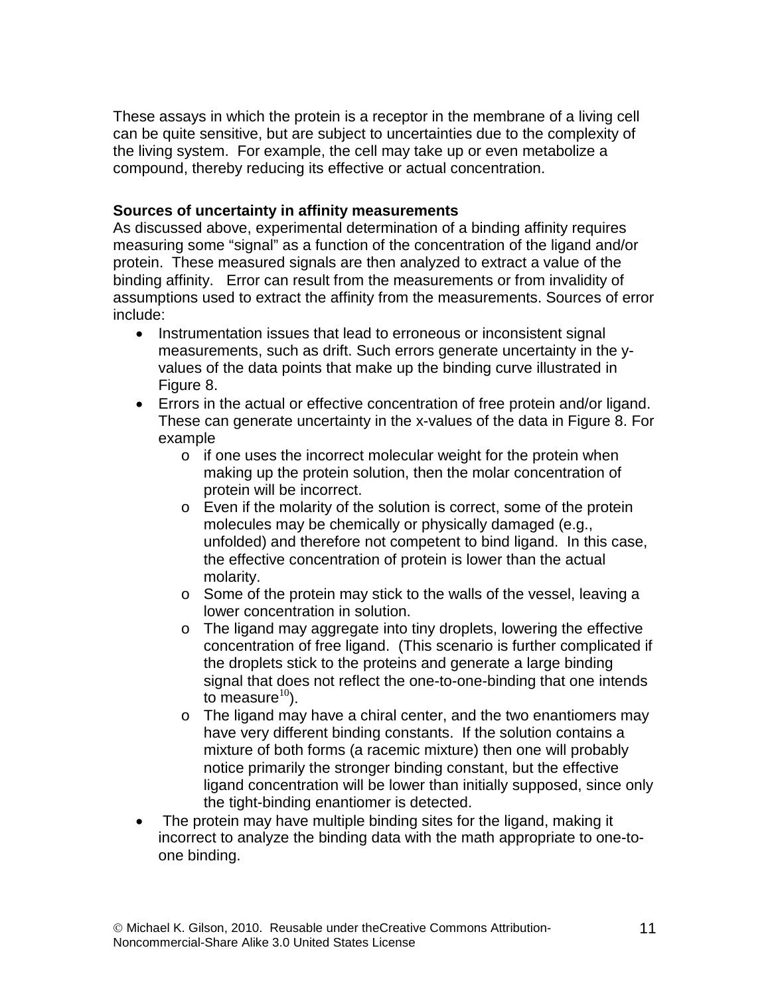These assays in which the protein is a receptor in the membrane of a living cell can be quite sensitive, but are subject to uncertainties due to the complexity of the living system. For example, the cell may take up or even metabolize a compound, thereby reducing its effective or actual concentration.

## **Sources of uncertainty in affinity measurements**

As discussed above, experimental determination of a binding affinity requires measuring some "signal" as a function of the concentration of the ligand and/or protein. These measured signals are then analyzed to extract a value of the binding affinity. Error can result from the measurements or from invalidity of assumptions used to extract the affinity from the measurements. Sources of error include:

- Instrumentation issues that lead to erroneous or inconsistent signal measurements, such as drift. Such errors generate uncertainty in the yvalues of the data points that make up the binding curve illustrated in [Figure 8.](#page-7-0)
- Errors in the actual or effective concentration of free protein and/or ligand. These can generate uncertainty in the x-values of the data in [Figure 8.](#page-7-0) For example
	- o if one uses the incorrect molecular weight for the protein when making up the protein solution, then the molar concentration of protein will be incorrect.
	- o Even if the molarity of the solution is correct, some of the protein molecules may be chemically or physically damaged (e.g., unfolded) and therefore not competent to bind ligand. In this case, the effective concentration of protein is lower than the actual molarity.
	- o Some of the protein may stick to the walls of the vessel, leaving a lower concentration in solution.
	- o The ligand may aggregate into tiny droplets, lowering the effective concentration of free ligand. (This scenario is further complicated if the droplets stick to the proteins and generate a large binding signal that does not reflect the one-to-one-binding that one intends to measure $10$ .
	- o The ligand may have a chiral center, and the two enantiomers may have very different binding constants. If the solution contains a mixture of both forms (a racemic mixture) then one will probably notice primarily the stronger binding constant, but the effective ligand concentration will be lower than initially supposed, since only the tight-binding enantiomer is detected.
- The protein may have multiple binding sites for the ligand, making it incorrect to analyze the binding data with the math appropriate to one-toone binding.